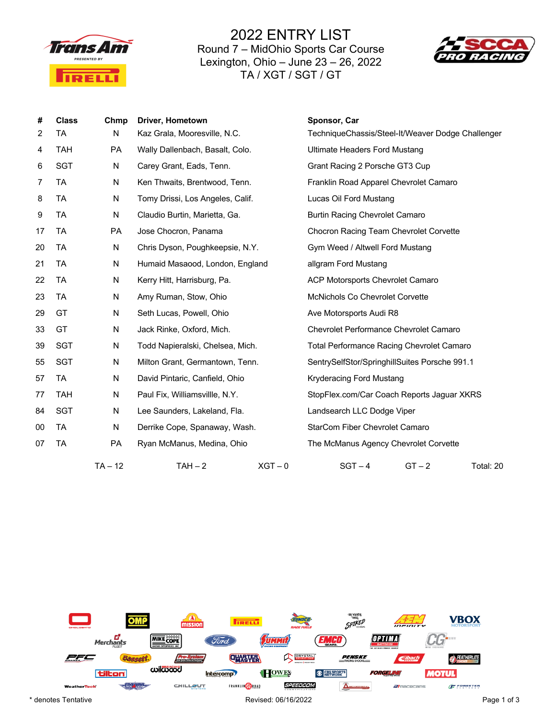

2022 ENTRY LIST Round 7 – MidOhio Sports Car Course Lexington, Ohio – June 23 – 26, 2022 TA / XGT / SGT / GT



| #  | <b>Class</b> | Chmp      | Driver, Hometown                 |           | Sponsor, Car                                      |  |  |
|----|--------------|-----------|----------------------------------|-----------|---------------------------------------------------|--|--|
| 2  | TA           | N         | Kaz Grala, Mooresville, N.C.     |           | TechniqueChassis/Steel-It/Weaver Dodge Challenger |  |  |
| 4  | <b>TAH</b>   | PA        | Wally Dallenbach, Basalt, Colo.  |           | <b>Ultimate Headers Ford Mustang</b>              |  |  |
| 6  | SGT          | N         | Carey Grant, Eads, Tenn.         |           | Grant Racing 2 Porsche GT3 Cup                    |  |  |
| 7  | TA           | N         | Ken Thwaits, Brentwood, Tenn.    |           | Franklin Road Apparel Chevrolet Camaro            |  |  |
| 8  | TA           | N         | Tomy Drissi, Los Angeles, Calif. |           | Lucas Oil Ford Mustang                            |  |  |
| 9  | TA           | N         | Claudio Burtin, Marietta, Ga.    |           | <b>Burtin Racing Chevrolet Camaro</b>             |  |  |
| 17 | TA           | PA        | Jose Chocron, Panama             |           | Chocron Racing Team Chevrolet Corvette            |  |  |
| 20 | TA           | N         | Chris Dyson, Poughkeepsie, N.Y.  |           | Gym Weed / Altwell Ford Mustang                   |  |  |
| 21 | TA           | N         | Humaid Masaood, London, England  |           | allgram Ford Mustang                              |  |  |
| 22 | TA           | N         | Kerry Hitt, Harrisburg, Pa.      |           | ACP Motorsports Chevrolet Camaro                  |  |  |
| 23 | TA           | N         | Amy Ruman, Stow, Ohio            |           | <b>McNichols Co Chevrolet Corvette</b>            |  |  |
| 29 | GT           | N         | Seth Lucas, Powell, Ohio         |           | Ave Motorsports Audi R8                           |  |  |
| 33 | GT           | N         | Jack Rinke, Oxford, Mich.        |           | Chevrolet Performance Chevrolet Camaro            |  |  |
| 39 | <b>SGT</b>   | N         | Todd Napieralski, Chelsea, Mich. |           | <b>Total Performance Racing Chevrolet Camaro</b>  |  |  |
| 55 | SGT          | N         | Milton Grant, Germantown, Tenn.  |           | SentrySelfStor/SpringhillSuites Porsche 991.1     |  |  |
| 57 | TA           | N         | David Pintaric, Canfield, Ohio   |           | Kryderacing Ford Mustang                          |  |  |
| 77 | <b>TAH</b>   | N         | Paul Fix, Williamsvillle, N.Y.   |           | StopFlex.com/Car Coach Reports Jaguar XKRS        |  |  |
| 84 | SGT          | N         | Lee Saunders, Lakeland, Fla.     |           | Landsearch LLC Dodge Viper                        |  |  |
| 00 | TA           | N         | Derrike Cope, Spanaway, Wash.    |           | StarCom Fiber Chevrolet Camaro                    |  |  |
| 07 | TA           | <b>PA</b> | Ryan McManus, Medina, Ohio       |           | The McManus Agency Chevrolet Corvette             |  |  |
|    |              | $TA - 12$ | $TAH-2$                          | $XGT - 0$ | $SGT - 4$<br>$GT - 2$<br>Total: 20                |  |  |

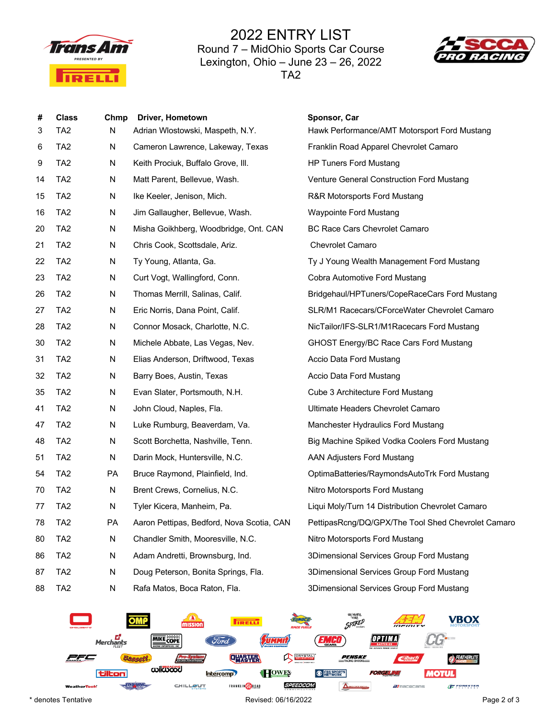

2022 ENTRY LIST Round 7 – MidOhio Sports Car Course Lexington, Ohio – June 23 – 26, 2022 TA2



| #  | <b>Class</b>    | Chmp | <b>Driver, Hometown</b>                   | Sponsor, Car                                       |  |
|----|-----------------|------|-------------------------------------------|----------------------------------------------------|--|
| 3  | TA <sub>2</sub> | N    | Adrian Wlostowski, Maspeth, N.Y.          | Hawk Performance/AMT Motorsport Ford Mustang       |  |
| 6  | TA <sub>2</sub> | N    | Cameron Lawrence, Lakeway, Texas          | Franklin Road Apparel Chevrolet Camaro             |  |
| 9  | TA <sub>2</sub> | N    | Keith Prociuk, Buffalo Grove, III.        | <b>HP Tuners Ford Mustang</b>                      |  |
| 14 | TA <sub>2</sub> | N    | Matt Parent, Bellevue, Wash.              | Venture General Construction Ford Mustang          |  |
| 15 | TA <sub>2</sub> | N    | Ike Keeler, Jenison, Mich.                | R&R Motorsports Ford Mustang                       |  |
| 16 | TA <sub>2</sub> | N    | Jim Gallaugher, Bellevue, Wash.           | <b>Waypointe Ford Mustang</b>                      |  |
| 20 | TA <sub>2</sub> | N    | Misha Goikhberg, Woodbridge, Ont. CAN     | <b>BC Race Cars Chevrolet Camaro</b>               |  |
| 21 | TA <sub>2</sub> | N    | Chris Cook, Scottsdale, Ariz.             | Chevrolet Camaro                                   |  |
| 22 | TA <sub>2</sub> | N    | Ty Young, Atlanta, Ga.                    | Ty J Young Wealth Management Ford Mustang          |  |
| 23 | TA <sub>2</sub> | N    | Curt Vogt, Wallingford, Conn.             | Cobra Automotive Ford Mustang                      |  |
| 26 | TA <sub>2</sub> | N    | Thomas Merrill, Salinas, Calif.           | Bridgehaul/HPTuners/CopeRaceCars Ford Mustang      |  |
| 27 | TA <sub>2</sub> | N    | Eric Norris, Dana Point, Calif.           | SLR/M1 Racecars/CForceWater Chevrolet Camaro       |  |
| 28 | TA <sub>2</sub> | N    | Connor Mosack, Charlotte, N.C.            | NicTailor/IFS-SLR1/M1Racecars Ford Mustang         |  |
| 30 | TA <sub>2</sub> | N    | Michele Abbate, Las Vegas, Nev.           | GHOST Energy/BC Race Cars Ford Mustang             |  |
| 31 | TA <sub>2</sub> | N    | Elias Anderson, Driftwood, Texas          | Accio Data Ford Mustang                            |  |
| 32 | TA <sub>2</sub> | N    | Barry Boes, Austin, Texas                 | Accio Data Ford Mustang                            |  |
| 35 | TA <sub>2</sub> | N    | Evan Slater, Portsmouth, N.H.             | Cube 3 Architecture Ford Mustang                   |  |
| 41 | TA <sub>2</sub> | N    | John Cloud, Naples, Fla.                  | Ultimate Headers Chevrolet Camaro                  |  |
| 47 | TA <sub>2</sub> | N    | Luke Rumburg, Beaverdam, Va.              | Manchester Hydraulics Ford Mustang                 |  |
| 48 | TA <sub>2</sub> | N    | Scott Borchetta, Nashville, Tenn.         | Big Machine Spiked Vodka Coolers Ford Mustang      |  |
| 51 | TA <sub>2</sub> | N    | Darin Mock, Huntersville, N.C.            | <b>AAN Adjusters Ford Mustang</b>                  |  |
| 54 | TA <sub>2</sub> | PA   | Bruce Raymond, Plainfield, Ind.           | OptimaBatteries/RaymondsAutoTrk Ford Mustang       |  |
| 70 | TA <sub>2</sub> | N    | Brent Crews, Cornelius, N.C.              | Nitro Motorsports Ford Mustang                     |  |
| 77 | TA <sub>2</sub> | N    | Tyler Kicera, Manheim, Pa.                | Liqui Moly/Turn 14 Distribution Chevrolet Camaro   |  |
| 78 | TA <sub>2</sub> | PA   | Aaron Pettipas, Bedford, Nova Scotia, CAN | PettipasRcng/DQ/GPX/The Tool Shed Chevrolet Camaro |  |
| 80 | TA <sub>2</sub> | N    | Chandler Smith, Mooresville, N.C.         | Nitro Motorsports Ford Mustang                     |  |
| 86 | TA <sub>2</sub> | N    | Adam Andretti, Brownsburg, Ind.           | 3Dimensional Services Group Ford Mustang           |  |
| 87 | TA <sub>2</sub> | N    | Doug Peterson, Bonita Springs, Fla.       | 3Dimensional Services Group Ford Mustang           |  |
| 88 | TA <sub>2</sub> | N    | Rafa Matos, Boca Raton, Fla.              | 3Dimensional Services Group Ford Mustang           |  |



\* denotes Tentative **Page 2 of 3 Revised: 06/16/2022** Page 2 of 3